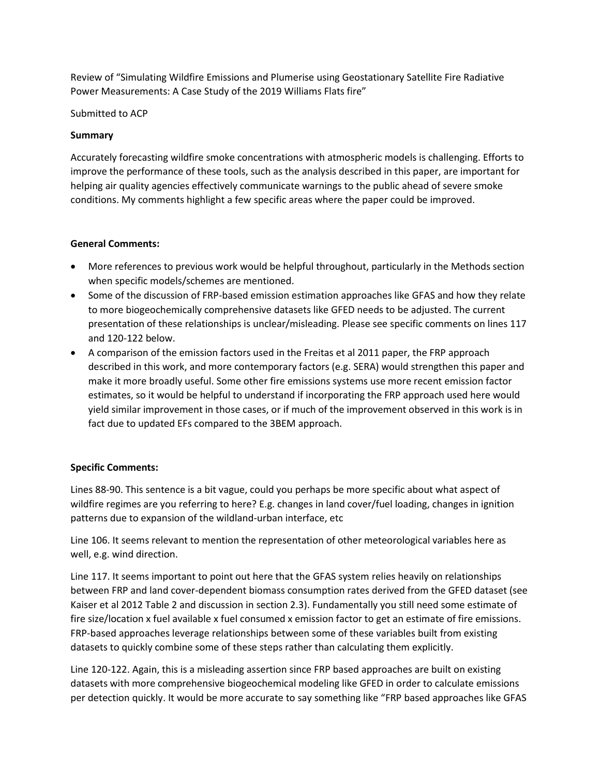Review of "Simulating Wildfire Emissions and Plumerise using Geostationary Satellite Fire Radiative Power Measurements: A Case Study of the 2019 Williams Flats fire"

Submitted to ACP

## **Summary**

Accurately forecasting wildfire smoke concentrations with atmospheric models is challenging. Efforts to improve the performance of these tools, such as the analysis described in this paper, are important for helping air quality agencies effectively communicate warnings to the public ahead of severe smoke conditions. My comments highlight a few specific areas where the paper could be improved.

## **General Comments:**

- More references to previous work would be helpful throughout, particularly in the Methods section when specific models/schemes are mentioned.
- Some of the discussion of FRP-based emission estimation approaches like GFAS and how they relate to more biogeochemically comprehensive datasets like GFED needs to be adjusted. The current presentation of these relationships is unclear/misleading. Please see specific comments on lines 117 and 120-122 below.
- A comparison of the emission factors used in the Freitas et al 2011 paper, the FRP approach described in this work, and more contemporary factors (e.g. SERA) would strengthen this paper and make it more broadly useful. Some other fire emissions systems use more recent emission factor estimates, so it would be helpful to understand if incorporating the FRP approach used here would yield similar improvement in those cases, or if much of the improvement observed in this work is in fact due to updated EFs compared to the 3BEM approach.

## **Specific Comments:**

Lines 88-90. This sentence is a bit vague, could you perhaps be more specific about what aspect of wildfire regimes are you referring to here? E.g. changes in land cover/fuel loading, changes in ignition patterns due to expansion of the wildland-urban interface, etc

Line 106. It seems relevant to mention the representation of other meteorological variables here as well, e.g. wind direction.

Line 117. It seems important to point out here that the GFAS system relies heavily on relationships between FRP and land cover-dependent biomass consumption rates derived from the GFED dataset (see Kaiser et al 2012 Table 2 and discussion in section 2.3). Fundamentally you still need some estimate of fire size/location x fuel available x fuel consumed x emission factor to get an estimate of fire emissions. FRP-based approaches leverage relationships between some of these variables built from existing datasets to quickly combine some of these steps rather than calculating them explicitly.

Line 120-122. Again, this is a misleading assertion since FRP based approaches are built on existing datasets with more comprehensive biogeochemical modeling like GFED in order to calculate emissions per detection quickly. It would be more accurate to say something like "FRP based approaches like GFAS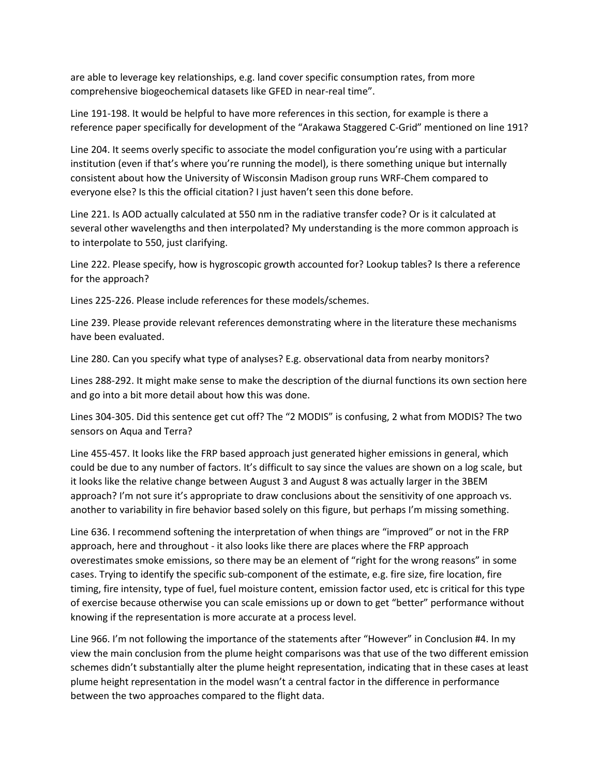are able to leverage key relationships, e.g. land cover specific consumption rates, from more comprehensive biogeochemical datasets like GFED in near-real time".

Line 191-198. It would be helpful to have more references in this section, for example is there a reference paper specifically for development of the "Arakawa Staggered C-Grid" mentioned on line 191?

Line 204. It seems overly specific to associate the model configuration you're using with a particular institution (even if that's where you're running the model), is there something unique but internally consistent about how the University of Wisconsin Madison group runs WRF-Chem compared to everyone else? Is this the official citation? I just haven't seen this done before.

Line 221. Is AOD actually calculated at 550 nm in the radiative transfer code? Or is it calculated at several other wavelengths and then interpolated? My understanding is the more common approach is to interpolate to 550, just clarifying.

Line 222. Please specify, how is hygroscopic growth accounted for? Lookup tables? Is there a reference for the approach?

Lines 225-226. Please include references for these models/schemes.

Line 239. Please provide relevant references demonstrating where in the literature these mechanisms have been evaluated.

Line 280. Can you specify what type of analyses? E.g. observational data from nearby monitors?

Lines 288-292. It might make sense to make the description of the diurnal functions its own section here and go into a bit more detail about how this was done.

Lines 304-305. Did this sentence get cut off? The "2 MODIS" is confusing, 2 what from MODIS? The two sensors on Aqua and Terra?

Line 455-457. It looks like the FRP based approach just generated higher emissions in general, which could be due to any number of factors. It's difficult to say since the values are shown on a log scale, but it looks like the relative change between August 3 and August 8 was actually larger in the 3BEM approach? I'm not sure it's appropriate to draw conclusions about the sensitivity of one approach vs. another to variability in fire behavior based solely on this figure, but perhaps I'm missing something.

Line 636. I recommend softening the interpretation of when things are "improved" or not in the FRP approach, here and throughout - it also looks like there are places where the FRP approach overestimates smoke emissions, so there may be an element of "right for the wrong reasons" in some cases. Trying to identify the specific sub-component of the estimate, e.g. fire size, fire location, fire timing, fire intensity, type of fuel, fuel moisture content, emission factor used, etc is critical for this type of exercise because otherwise you can scale emissions up or down to get "better" performance without knowing if the representation is more accurate at a process level.

Line 966. I'm not following the importance of the statements after "However" in Conclusion #4. In my view the main conclusion from the plume height comparisons was that use of the two different emission schemes didn't substantially alter the plume height representation, indicating that in these cases at least plume height representation in the model wasn't a central factor in the difference in performance between the two approaches compared to the flight data.